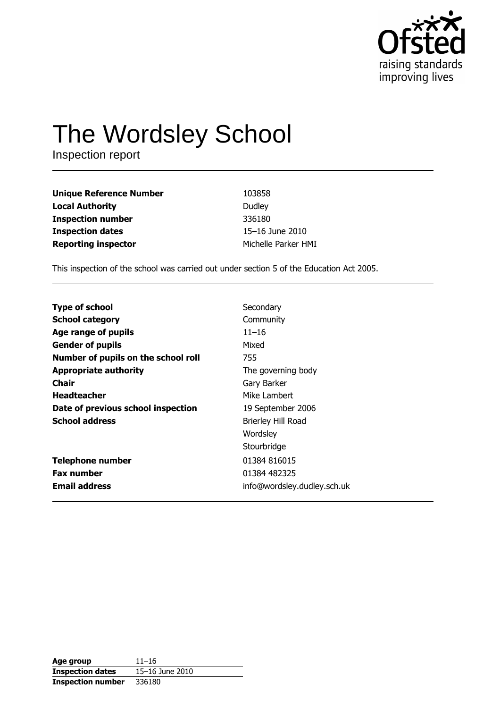

# The Wordsley School

Inspection report

| <b>Unique Reference Number</b> | 103858              |
|--------------------------------|---------------------|
| <b>Local Authority</b>         | Dudley              |
| <b>Inspection number</b>       | 336180              |
| <b>Inspection dates</b>        | 15-16 June 2010     |
| <b>Reporting inspector</b>     | Michelle Parker HMI |

This inspection of the school was carried out under section 5 of the Education Act 2005.

| <b>Type of school</b>               | Secondary                   |
|-------------------------------------|-----------------------------|
| <b>School category</b>              | Community                   |
| Age range of pupils                 | $11 - 16$                   |
| <b>Gender of pupils</b>             | Mixed                       |
| Number of pupils on the school roll | 755                         |
| <b>Appropriate authority</b>        | The governing body          |
| <b>Chair</b>                        | Gary Barker                 |
| <b>Headteacher</b>                  | Mike Lambert                |
| Date of previous school inspection  | 19 September 2006           |
| <b>School address</b>               | Brierley Hill Road          |
|                                     | Wordsley                    |
|                                     | Stourbridge                 |
| <b>Telephone number</b>             | 01384 816015                |
| <b>Fax number</b>                   | 01384 482325                |
| <b>Email address</b>                | info@wordsley.dudley.sch.uk |

| Age group                | $11 - 16$       |
|--------------------------|-----------------|
| <b>Inspection dates</b>  | 15-16 June 2010 |
| <b>Inspection number</b> | 336180          |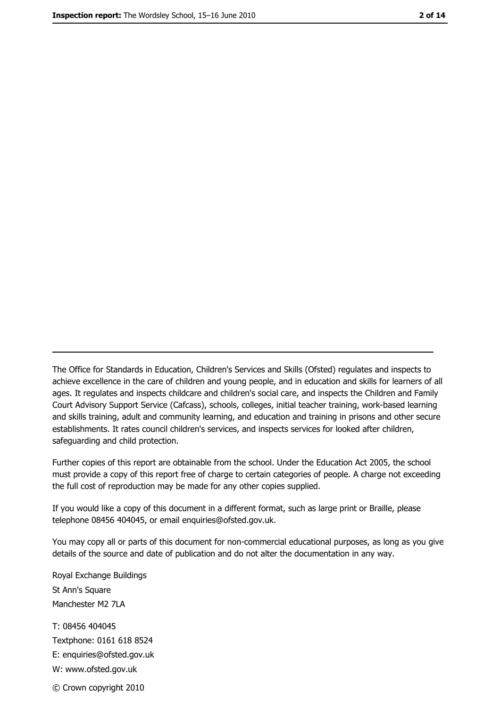The Office for Standards in Education, Children's Services and Skills (Ofsted) regulates and inspects to achieve excellence in the care of children and young people, and in education and skills for learners of all ages. It regulates and inspects childcare and children's social care, and inspects the Children and Family Court Advisory Support Service (Cafcass), schools, colleges, initial teacher training, work-based learning and skills training, adult and community learning, and education and training in prisons and other secure establishments. It rates council children's services, and inspects services for looked after children, safequarding and child protection.

Further copies of this report are obtainable from the school. Under the Education Act 2005, the school must provide a copy of this report free of charge to certain categories of people. A charge not exceeding the full cost of reproduction may be made for any other copies supplied.

If you would like a copy of this document in a different format, such as large print or Braille, please telephone 08456 404045, or email enquiries@ofsted.gov.uk.

You may copy all or parts of this document for non-commercial educational purposes, as long as you give details of the source and date of publication and do not alter the documentation in any way.

Royal Exchange Buildings St Ann's Square Manchester M2 7LA T: 08456 404045 Textphone: 0161 618 8524 E: enquiries@ofsted.gov.uk W: www.ofsted.gov.uk © Crown copyright 2010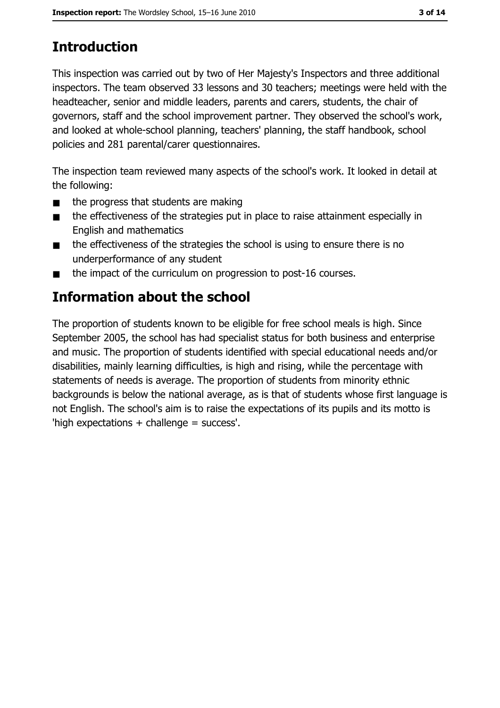# **Introduction**

This inspection was carried out by two of Her Majesty's Inspectors and three additional inspectors. The team observed 33 lessons and 30 teachers; meetings were held with the headteacher, senior and middle leaders, parents and carers, students, the chair of governors, staff and the school improvement partner. They observed the school's work, and looked at whole-school planning, teachers' planning, the staff handbook, school policies and 281 parental/carer questionnaires.

The inspection team reviewed many aspects of the school's work. It looked in detail at the following:

- the progress that students are making  $\blacksquare$
- the effectiveness of the strategies put in place to raise attainment especially in  $\blacksquare$ English and mathematics
- the effectiveness of the strategies the school is using to ensure there is no  $\blacksquare$ underperformance of any student
- the impact of the curriculum on progression to post-16 courses.  $\blacksquare$

## **Information about the school**

The proportion of students known to be eligible for free school meals is high. Since September 2005, the school has had specialist status for both business and enterprise and music. The proportion of students identified with special educational needs and/or disabilities, mainly learning difficulties, is high and rising, while the percentage with statements of needs is average. The proportion of students from minority ethnic backgrounds is below the national average, as is that of students whose first language is not English. The school's aim is to raise the expectations of its pupils and its motto is 'high expectations  $+$  challenge  $=$  success'.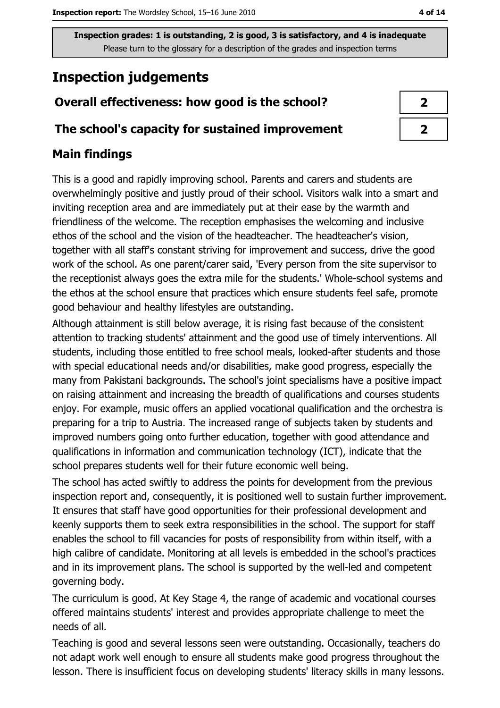## **Inspection judgements**

## Overall effectiveness: how good is the school?

#### The school's capacity for sustained improvement

## **Main findings**

This is a good and rapidly improving school. Parents and carers and students are overwhelmingly positive and justly proud of their school. Visitors walk into a smart and inviting reception area and are immediately put at their ease by the warmth and friendliness of the welcome. The reception emphasises the welcoming and inclusive ethos of the school and the vision of the headteacher. The headteacher's vision, together with all staff's constant striving for improvement and success, drive the good work of the school. As one parent/carer said, 'Every person from the site supervisor to the receptionist always goes the extra mile for the students.' Whole-school systems and the ethos at the school ensure that practices which ensure students feel safe, promote good behaviour and healthy lifestyles are outstanding.

Although attainment is still below average, it is rising fast because of the consistent attention to tracking students' attainment and the good use of timely interventions. All students, including those entitled to free school meals, looked-after students and those with special educational needs and/or disabilities, make good progress, especially the many from Pakistani backgrounds. The school's joint specialisms have a positive impact on raising attainment and increasing the breadth of qualifications and courses students enjoy. For example, music offers an applied vocational qualification and the orchestra is preparing for a trip to Austria. The increased range of subjects taken by students and improved numbers going onto further education, together with good attendance and qualifications in information and communication technology (ICT), indicate that the school prepares students well for their future economic well being.

The school has acted swiftly to address the points for development from the previous inspection report and, consequently, it is positioned well to sustain further improvement. It ensures that staff have good opportunities for their professional development and keenly supports them to seek extra responsibilities in the school. The support for staff enables the school to fill vacancies for posts of responsibility from within itself, with a high calibre of candidate. Monitoring at all levels is embedded in the school's practices and in its improvement plans. The school is supported by the well-led and competent governing body.

The curriculum is good. At Key Stage 4, the range of academic and vocational courses offered maintains students' interest and provides appropriate challenge to meet the needs of all.

Teaching is good and several lessons seen were outstanding. Occasionally, teachers do not adapt work well enough to ensure all students make good progress throughout the lesson. There is insufficient focus on developing students' literacy skills in many lessons.

| 1 |
|---|
| ↗ |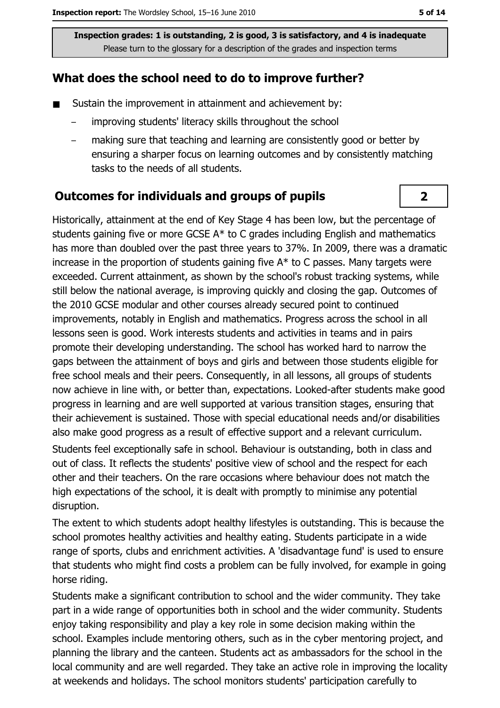#### What does the school need to do to improve further?

- Sustain the improvement in attainment and achievement by:  $\blacksquare$ 
	- improving students' literacy skills throughout the school
	- making sure that teaching and learning are consistently good or better by ensuring a sharper focus on learning outcomes and by consistently matching tasks to the needs of all students.

#### **Outcomes for individuals and groups of pupils**

Historically, attainment at the end of Key Stage 4 has been low, but the percentage of students gaining five or more GCSE A\* to C grades including English and mathematics has more than doubled over the past three years to 37%. In 2009, there was a dramatic increase in the proportion of students gaining five  $A^*$  to C passes. Many targets were exceeded. Current attainment, as shown by the school's robust tracking systems, while still below the national average, is improving quickly and closing the gap. Outcomes of the 2010 GCSE modular and other courses already secured point to continued improvements, notably in English and mathematics. Progress across the school in all lessons seen is good. Work interests students and activities in teams and in pairs promote their developing understanding. The school has worked hard to narrow the gaps between the attainment of boys and girls and between those students eligible for free school meals and their peers. Consequently, in all lessons, all groups of students now achieve in line with, or better than, expectations. Looked-after students make good progress in learning and are well supported at various transition stages, ensuring that their achievement is sustained. Those with special educational needs and/or disabilities also make good progress as a result of effective support and a relevant curriculum. Students feel exceptionally safe in school. Behaviour is outstanding, both in class and out of class. It reflects the students' positive view of school and the respect for each other and their teachers. On the rare occasions where behaviour does not match the high expectations of the school, it is dealt with promptly to minimise any potential disruption.

The extent to which students adopt healthy lifestyles is outstanding. This is because the school promotes healthy activities and healthy eating. Students participate in a wide range of sports, clubs and enrichment activities. A 'disadvantage fund' is used to ensure that students who might find costs a problem can be fully involved, for example in going horse riding.

Students make a significant contribution to school and the wider community. They take part in a wide range of opportunities both in school and the wider community. Students enjoy taking responsibility and play a key role in some decision making within the school. Examples include mentoring others, such as in the cyber mentoring project, and planning the library and the canteen. Students act as ambassadors for the school in the local community and are well regarded. They take an active role in improving the locality at weekends and holidays. The school monitors students' participation carefully to

 $2<sup>1</sup>$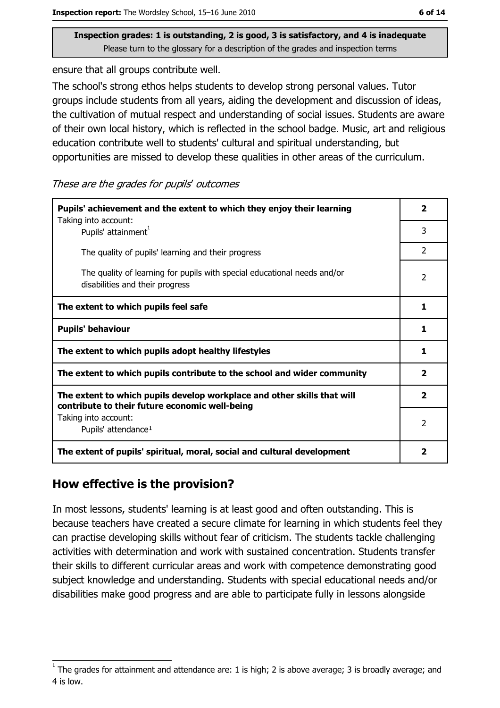ensure that all groups contribute well.

The school's strong ethos helps students to develop strong personal values. Tutor groups include students from all years, aiding the development and discussion of ideas, the cultivation of mutual respect and understanding of social issues. Students are aware of their own local history, which is reflected in the school badge. Music, art and religious education contribute well to students' cultural and spiritual understanding, but opportunities are missed to develop these qualities in other areas of the curriculum.

These are the grades for pupils' outcomes

| Pupils' achievement and the extent to which they enjoy their learning                                                     |                |
|---------------------------------------------------------------------------------------------------------------------------|----------------|
| Taking into account:<br>Pupils' attainment <sup>1</sup>                                                                   | 3              |
| The quality of pupils' learning and their progress                                                                        | $\mathcal{P}$  |
| The quality of learning for pupils with special educational needs and/or<br>disabilities and their progress               | $\overline{2}$ |
| The extent to which pupils feel safe                                                                                      | 1              |
| <b>Pupils' behaviour</b>                                                                                                  |                |
| The extent to which pupils adopt healthy lifestyles                                                                       |                |
| The extent to which pupils contribute to the school and wider community                                                   |                |
| The extent to which pupils develop workplace and other skills that will<br>contribute to their future economic well-being |                |
| Taking into account:<br>Pupils' attendance <sup>1</sup>                                                                   | 2              |
| The extent of pupils' spiritual, moral, social and cultural development                                                   |                |

#### How effective is the provision?

In most lessons, students' learning is at least good and often outstanding. This is because teachers have created a secure climate for learning in which students feel they can practise developing skills without fear of criticism. The students tackle challenging activities with determination and work with sustained concentration. Students transfer their skills to different curricular areas and work with competence demonstrating good subject knowledge and understanding. Students with special educational needs and/or disabilities make good progress and are able to participate fully in lessons alongside

The grades for attainment and attendance are: 1 is high; 2 is above average; 3 is broadly average; and 4 is low.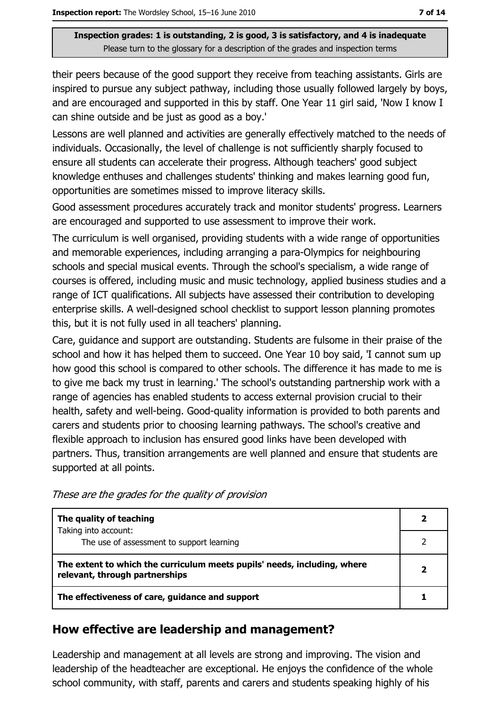their peers because of the good support they receive from teaching assistants. Girls are inspired to pursue any subject pathway, including those usually followed largely by boys, and are encouraged and supported in this by staff. One Year 11 girl said, 'Now I know I can shine outside and be just as good as a boy.'

Lessons are well planned and activities are generally effectively matched to the needs of individuals. Occasionally, the level of challenge is not sufficiently sharply focused to ensure all students can accelerate their progress. Although teachers' good subject knowledge enthuses and challenges students' thinking and makes learning good fun, opportunities are sometimes missed to improve literacy skills.

Good assessment procedures accurately track and monitor students' progress. Learners are encouraged and supported to use assessment to improve their work.

The curriculum is well organised, providing students with a wide range of opportunities and memorable experiences, including arranging a para-Olympics for neighbouring schools and special musical events. Through the school's specialism, a wide range of courses is offered, including music and music technology, applied business studies and a range of ICT qualifications. All subjects have assessed their contribution to developing enterprise skills. A well-designed school checklist to support lesson planning promotes this, but it is not fully used in all teachers' planning.

Care, guidance and support are outstanding. Students are fulsome in their praise of the school and how it has helped them to succeed. One Year 10 boy said, 'I cannot sum up how good this school is compared to other schools. The difference it has made to me is to give me back my trust in learning.' The school's outstanding partnership work with a range of agencies has enabled students to access external provision crucial to their health, safety and well-being. Good-quality information is provided to both parents and carers and students prior to choosing learning pathways. The school's creative and flexible approach to inclusion has ensured good links have been developed with partners. Thus, transition arrangements are well planned and ensure that students are supported at all points.

| The quality of teaching                                                                                    |  |
|------------------------------------------------------------------------------------------------------------|--|
| Taking into account:<br>The use of assessment to support learning                                          |  |
| The extent to which the curriculum meets pupils' needs, including, where<br>relevant, through partnerships |  |
| The effectiveness of care, guidance and support                                                            |  |

These are the grades for the quality of provision

#### How effective are leadership and management?

Leadership and management at all levels are strong and improving. The vision and leadership of the headteacher are exceptional. He enjoys the confidence of the whole school community, with staff, parents and carers and students speaking highly of his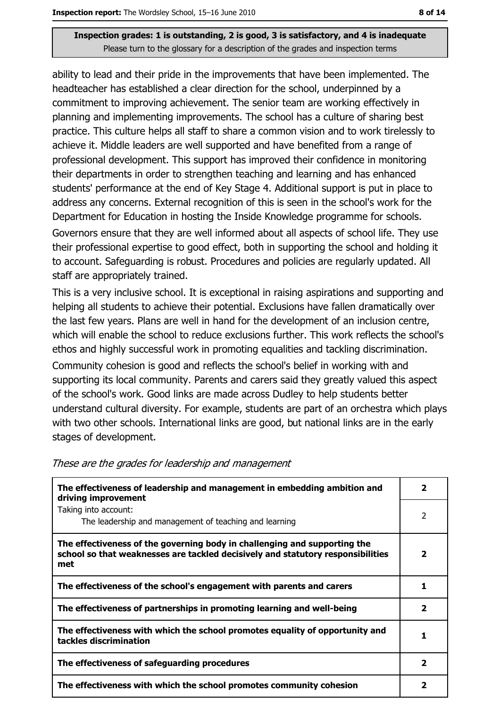ability to lead and their pride in the improvements that have been implemented. The headteacher has established a clear direction for the school, underpinned by a commitment to improving achievement. The senior team are working effectively in planning and implementing improvements. The school has a culture of sharing best practice. This culture helps all staff to share a common vision and to work tirelessly to achieve it. Middle leaders are well supported and have benefited from a range of professional development. This support has improved their confidence in monitoring their departments in order to strengthen teaching and learning and has enhanced students' performance at the end of Key Stage 4. Additional support is put in place to address any concerns. External recognition of this is seen in the school's work for the Department for Education in hosting the Inside Knowledge programme for schools.

Governors ensure that they are well informed about all aspects of school life. They use their professional expertise to good effect, both in supporting the school and holding it to account. Safeguarding is robust. Procedures and policies are regularly updated. All staff are appropriately trained.

This is a very inclusive school. It is exceptional in raising aspirations and supporting and helping all students to achieve their potential. Exclusions have fallen dramatically over the last few years. Plans are well in hand for the development of an inclusion centre, which will enable the school to reduce exclusions further. This work reflects the school's ethos and highly successful work in promoting equalities and tackling discrimination.

Community cohesion is good and reflects the school's belief in working with and supporting its local community. Parents and carers said they greatly valued this aspect of the school's work. Good links are made across Dudley to help students better understand cultural diversity. For example, students are part of an orchestra which plays with two other schools. International links are good, but national links are in the early stages of development.

| The effectiveness of leadership and management in embedding ambition and<br>driving improvement                                                                     |   |
|---------------------------------------------------------------------------------------------------------------------------------------------------------------------|---|
| Taking into account:<br>The leadership and management of teaching and learning                                                                                      | 2 |
| The effectiveness of the governing body in challenging and supporting the<br>school so that weaknesses are tackled decisively and statutory responsibilities<br>met | 2 |
| The effectiveness of the school's engagement with parents and carers                                                                                                |   |
| The effectiveness of partnerships in promoting learning and well-being                                                                                              |   |
| The effectiveness with which the school promotes equality of opportunity and<br>tackles discrimination                                                              |   |
| The effectiveness of safeguarding procedures                                                                                                                        | 2 |
| The effectiveness with which the school promotes community cohesion                                                                                                 |   |

These are the grades for leadership and management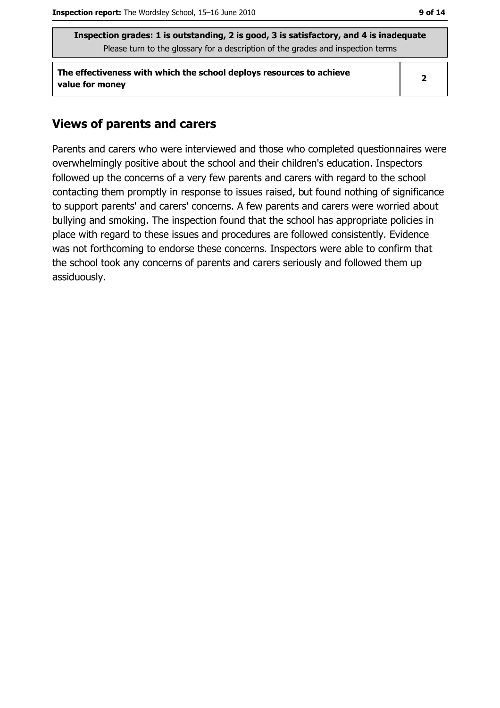The effectiveness with which the school deploys resources to achieve value for money

 $\overline{2}$ 

#### **Views of parents and carers**

Parents and carers who were interviewed and those who completed questionnaires were overwhelmingly positive about the school and their children's education. Inspectors followed up the concerns of a very few parents and carers with regard to the school contacting them promptly in response to issues raised, but found nothing of significance to support parents' and carers' concerns. A few parents and carers were worried about bullying and smoking. The inspection found that the school has appropriate policies in place with regard to these issues and procedures are followed consistently. Evidence was not forthcoming to endorse these concerns. Inspectors were able to confirm that the school took any concerns of parents and carers seriously and followed them up assiduously.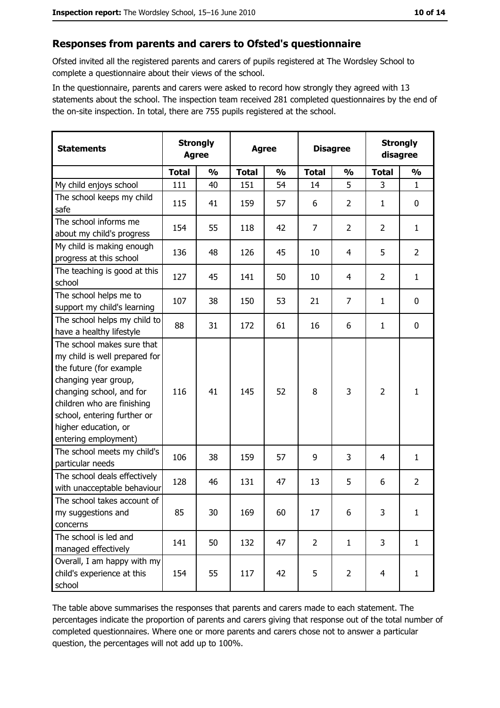#### Responses from parents and carers to Ofsted's questionnaire

Ofsted invited all the registered parents and carers of pupils registered at The Wordsley School to complete a questionnaire about their views of the school.

In the questionnaire, parents and carers were asked to record how strongly they agreed with 13 statements about the school. The inspection team received 281 completed questionnaires by the end of the on-site inspection. In total, there are 755 pupils registered at the school.

| <b>Statements</b>                                                                                                                                                                                                                                       | <b>Strongly</b><br><b>Agree</b> |               | <b>Agree</b> |               |                | <b>Disagree</b> |                | <b>Strongly</b><br>disagree |  |
|---------------------------------------------------------------------------------------------------------------------------------------------------------------------------------------------------------------------------------------------------------|---------------------------------|---------------|--------------|---------------|----------------|-----------------|----------------|-----------------------------|--|
|                                                                                                                                                                                                                                                         | <b>Total</b>                    | $\frac{0}{0}$ | <b>Total</b> | $\frac{0}{0}$ | <b>Total</b>   | $\frac{0}{0}$   | <b>Total</b>   | $\frac{0}{0}$               |  |
| My child enjoys school                                                                                                                                                                                                                                  | 111                             | 40            | 151          | 54            | 14             | 5               | 3              | $\mathbf{1}$                |  |
| The school keeps my child<br>safe                                                                                                                                                                                                                       | 115                             | 41            | 159          | 57            | 6              | 2               | 1              | $\boldsymbol{0}$            |  |
| The school informs me<br>about my child's progress                                                                                                                                                                                                      | 154                             | 55            | 118          | 42            | 7              | $\overline{2}$  | $\overline{2}$ | $\mathbf{1}$                |  |
| My child is making enough<br>progress at this school                                                                                                                                                                                                    | 136                             | 48            | 126          | 45            | 10             | 4               | 5              | $\overline{2}$              |  |
| The teaching is good at this<br>school                                                                                                                                                                                                                  | 127                             | 45            | 141          | 50            | 10             | 4               | $\overline{2}$ | $\mathbf{1}$                |  |
| The school helps me to<br>support my child's learning                                                                                                                                                                                                   | 107                             | 38            | 150          | 53            | 21             | $\overline{7}$  | 1              | 0                           |  |
| The school helps my child to<br>have a healthy lifestyle                                                                                                                                                                                                | 88                              | 31            | 172          | 61            | 16             | 6               | 1              | 0                           |  |
| The school makes sure that<br>my child is well prepared for<br>the future (for example<br>changing year group,<br>changing school, and for<br>children who are finishing<br>school, entering further or<br>higher education, or<br>entering employment) | 116                             | 41            | 145          | 52            | 8              | 3               | $\overline{2}$ | $\mathbf{1}$                |  |
| The school meets my child's<br>particular needs                                                                                                                                                                                                         | 106                             | 38            | 159          | 57            | 9              | 3               | 4              | $\mathbf{1}$                |  |
| The school deals effectively<br>with unacceptable behaviour                                                                                                                                                                                             | 128                             | 46            | 131          | 47            | 13             | 5               | 6              | $\overline{2}$              |  |
| The school takes account of<br>my suggestions and<br>concerns                                                                                                                                                                                           | 85                              | 30            | 169          | 60            | 17             | 6               | 3              | $\mathbf{1}$                |  |
| The school is led and<br>managed effectively                                                                                                                                                                                                            | 141                             | 50            | 132          | 47            | $\overline{2}$ | $\mathbf{1}$    | 3              | $\mathbf{1}$                |  |
| Overall, I am happy with my<br>child's experience at this<br>school                                                                                                                                                                                     | 154                             | 55            | 117          | 42            | 5              | $\overline{2}$  | 4              | $\mathbf{1}$                |  |

The table above summarises the responses that parents and carers made to each statement. The percentages indicate the proportion of parents and carers giving that response out of the total number of completed questionnaires. Where one or more parents and carers chose not to answer a particular question, the percentages will not add up to 100%.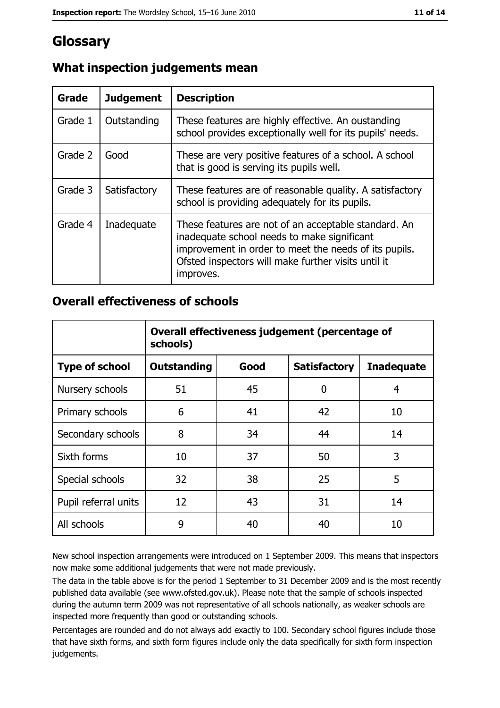## Glossary

| Grade   | <b>Judgement</b> | <b>Description</b>                                                                                                                                                                                                               |
|---------|------------------|----------------------------------------------------------------------------------------------------------------------------------------------------------------------------------------------------------------------------------|
| Grade 1 | Outstanding      | These features are highly effective. An oustanding<br>school provides exceptionally well for its pupils' needs.                                                                                                                  |
| Grade 2 | Good             | These are very positive features of a school. A school<br>that is good is serving its pupils well.                                                                                                                               |
| Grade 3 | Satisfactory     | These features are of reasonable quality. A satisfactory<br>school is providing adequately for its pupils.                                                                                                                       |
| Grade 4 | Inadequate       | These features are not of an acceptable standard. An<br>inadequate school needs to make significant<br>improvement in order to meet the needs of its pupils.<br>Ofsted inspectors will make further visits until it<br>improves. |

## What inspection judgements mean

#### **Overall effectiveness of schools**

|                       | Overall effectiveness judgement (percentage of<br>schools) |      |                     |                   |
|-----------------------|------------------------------------------------------------|------|---------------------|-------------------|
| <b>Type of school</b> | <b>Outstanding</b>                                         | Good | <b>Satisfactory</b> | <b>Inadequate</b> |
| Nursery schools       | 51                                                         | 45   | 0                   | 4                 |
| Primary schools       | 6                                                          | 41   | 42                  | 10                |
| Secondary schools     | 8                                                          | 34   | 44                  | 14                |
| Sixth forms           | 10                                                         | 37   | 50                  | 3                 |
| Special schools       | 32                                                         | 38   | 25                  | 5                 |
| Pupil referral units  | 12                                                         | 43   | 31                  | 14                |
| All schools           | 9                                                          | 40   | 40                  | 10                |

New school inspection arrangements were introduced on 1 September 2009. This means that inspectors now make some additional judgements that were not made previously.

The data in the table above is for the period 1 September to 31 December 2009 and is the most recently published data available (see www.ofsted.gov.uk). Please note that the sample of schools inspected during the autumn term 2009 was not representative of all schools nationally, as weaker schools are inspected more frequently than good or outstanding schools.

Percentages are rounded and do not always add exactly to 100. Secondary school figures include those that have sixth forms, and sixth form figures include only the data specifically for sixth form inspection judgements.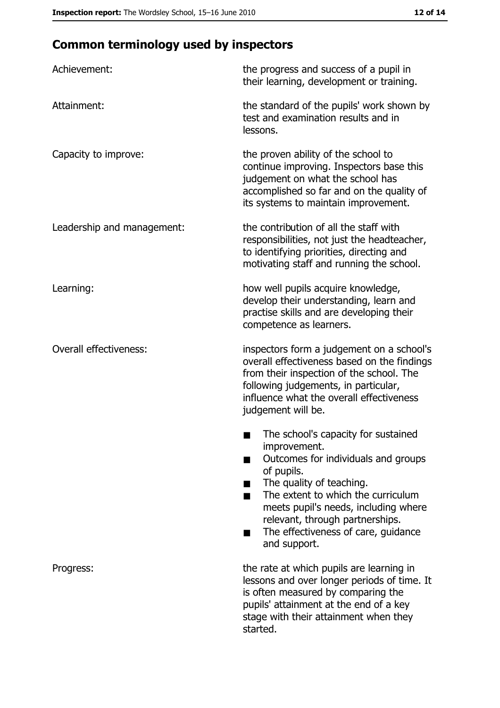## **Common terminology used by inspectors**

| Achievement:                  | the progress and success of a pupil in<br>their learning, development or training.                                                                                                                                                                                                                           |
|-------------------------------|--------------------------------------------------------------------------------------------------------------------------------------------------------------------------------------------------------------------------------------------------------------------------------------------------------------|
| Attainment:                   | the standard of the pupils' work shown by<br>test and examination results and in<br>lessons.                                                                                                                                                                                                                 |
| Capacity to improve:          | the proven ability of the school to<br>continue improving. Inspectors base this<br>judgement on what the school has<br>accomplished so far and on the quality of<br>its systems to maintain improvement.                                                                                                     |
| Leadership and management:    | the contribution of all the staff with<br>responsibilities, not just the headteacher,<br>to identifying priorities, directing and<br>motivating staff and running the school.                                                                                                                                |
| Learning:                     | how well pupils acquire knowledge,<br>develop their understanding, learn and<br>practise skills and are developing their<br>competence as learners.                                                                                                                                                          |
| <b>Overall effectiveness:</b> | inspectors form a judgement on a school's<br>overall effectiveness based on the findings<br>from their inspection of the school. The<br>following judgements, in particular,<br>influence what the overall effectiveness<br>judgement will be.                                                               |
|                               | The school's capacity for sustained<br>improvement.<br>Outcomes for individuals and groups<br>of pupils.<br>The quality of teaching.<br>The extent to which the curriculum<br>meets pupil's needs, including where<br>relevant, through partnerships.<br>The effectiveness of care, guidance<br>and support. |
| Progress:                     | the rate at which pupils are learning in<br>lessons and over longer periods of time. It<br>is often measured by comparing the<br>pupils' attainment at the end of a key<br>stage with their attainment when they<br>started.                                                                                 |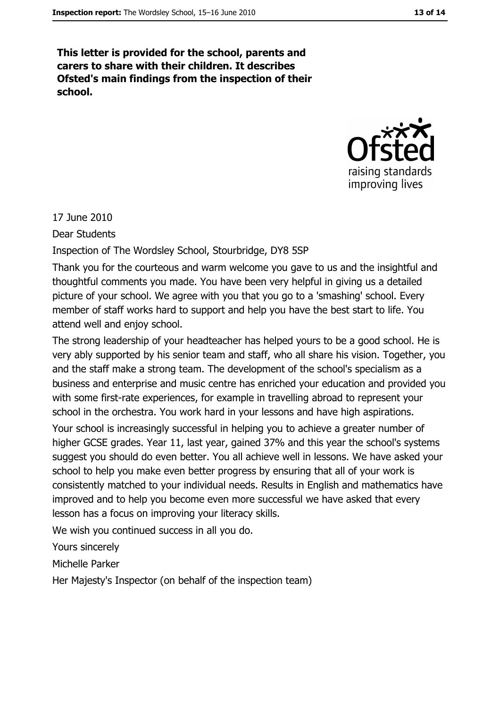This letter is provided for the school, parents and carers to share with their children. It describes Ofsted's main findings from the inspection of their school.



17 June 2010

**Dear Students** 

Inspection of The Wordsley School, Stourbridge, DY8 5SP

Thank you for the courteous and warm welcome you gave to us and the insightful and thoughtful comments you made. You have been very helpful in giving us a detailed picture of your school. We agree with you that you go to a 'smashing' school. Every member of staff works hard to support and help you have the best start to life. You attend well and enjoy school.

The strong leadership of your headteacher has helped yours to be a good school. He is very ably supported by his senior team and staff, who all share his vision. Together, you and the staff make a strong team. The development of the school's specialism as a business and enterprise and music centre has enriched your education and provided you with some first-rate experiences, for example in travelling abroad to represent your school in the orchestra. You work hard in your lessons and have high aspirations. Your school is increasingly successful in helping you to achieve a greater number of higher GCSE grades. Year 11, last year, gained 37% and this year the school's systems suggest you should do even better. You all achieve well in lessons. We have asked your school to help you make even better progress by ensuring that all of your work is consistently matched to your individual needs. Results in English and mathematics have improved and to help you become even more successful we have asked that every lesson has a focus on improving your literacy skills.

We wish you continued success in all you do.

Yours sincerely

Michelle Parker

Her Majesty's Inspector (on behalf of the inspection team)